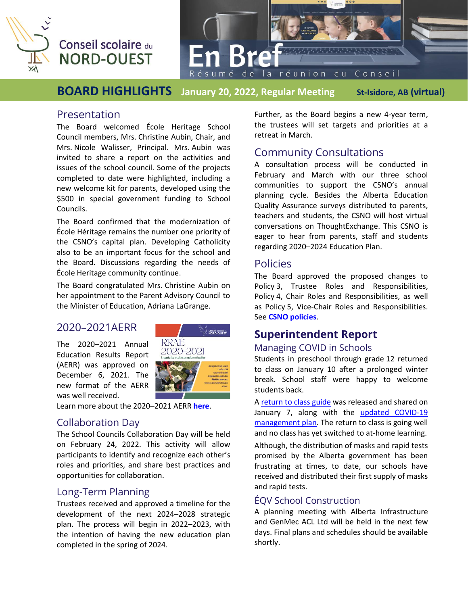

# Conseil scolaire du **NORD-OUEST**

**Bre** 

de

**BOARD HIGHLIGHTS January 20, 2022, Regular Meeting St-Isidore, AB (virtual)** 

### Presentation

The Board welcomed École Heritage School Council members, Mrs. Christine Aubin, Chair, and Mrs. Nicole Walisser, Principal. Mrs. Aubin was invited to share a report on the activities and issues of the school council. Some of the projects completed to date were highlighted, including a new welcome kit for parents, developed using the \$500 in special government funding to School Councils.

The Board confirmed that the modernization of École Héritage remains the number one priority of the CSNO's capital plan. Developing Catholicity also to be an important focus for the school and the Board. Discussions regarding the needs of École Heritage community continue.

The Board congratulated Mrs. Christine Aubin on her appointment to the Parent Advisory Council to the Minister of Education, Adriana LaGrange.

# 2020–2021AERR

The 2020–2021 Annual Education Results Report (AERR) was approved on December 6, 2021. The new format of the AERR was well received.



Learn more about the 2020–2021 AERR **[here](http://csno.ab.ca/le-conseil/publications/)**.

## Collaboration Day

The School Councils Collaboration Day will be held on February 24, 2022. This activity will allow participants to identify and recognize each other's roles and priorities, and share best practices and opportunities for collaboration.

## Long-Term Planning

Trustees received and approved a timeline for the development of the next 2024–2028 strategic plan. The process will begin in 2022–2023, with the intention of having the new education plan completed in the spring of 2024.

Further, as the Board begins a new 4-year term, the trustees will set targets and priorities at a retreat in March.

la réunion du Conseil

# Community Consultations

A consultation process will be conducted in February and March with our three school communities to support the CSNO's annual planning cycle. Besides the Alberta Education Quality Assurance surveys distributed to parents, teachers and students, the CSNO will host virtual conversations on ThoughtExchange. This CSNO is eager to hear from parents, staff and students regarding 2020–2024 Education Plan.

# Policies

The Board approved the proposed changes to Policy 3, Trustee Roles and Responsibilities, Policy 4, Chair Roles and Responsibilities, as well as Policy 5, Vice-Chair Roles and Responsibilities. See **CSNO [policies](https://csno.ab.ca/le-conseil/politiques-conseil-scolaire/)**.

# **Superintendent Report**

#### Managing COVID in Schools

Students in preschool through grade 12 returned to class on January 10 after a prolonged winter break. School staff were happy to welcome students back.

A [return to class guide](https://csno.ab.ca/wp-content/uploads/2020/07/Guide-de-retour-en-classe-janvier-2022-ANG.pdf) was released and shared on January 7, along with the [updated COVID-19](https://csno.ab.ca/wp-content/uploads/2020/07/Plan-de-gestion-COVID-21-22_M-a-12_3-janvier-2022_ANG.pdf)  [management plan.](https://csno.ab.ca/wp-content/uploads/2020/07/Plan-de-gestion-COVID-21-22_M-a-12_3-janvier-2022_ANG.pdf) The return to class is going well and no class has yet switched to at-home learning. Although, the distribution of masks and rapid tests promised by the Alberta government has been frustrating at times, to date, our schools have received and distributed their first supply of masks and rapid tests.

# ÉQV School Construction

A planning meeting with Alberta Infrastructure and GenMec ACL Ltd will be held in the next few days. Final plans and schedules should be available shortly.